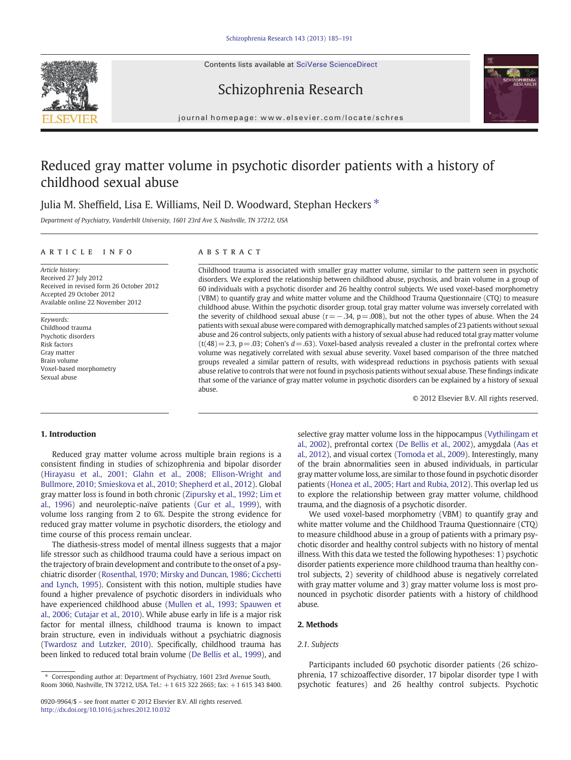Contents lists available at SciVerse ScienceDirect





# Schizophrenia Research

journal homepage: www.elsevier.com/locate/schres

# Reduced gray matter volume in psychotic disorder patients with a history of childhood sexual abuse

## Julia M. Sheffield, Lisa E. Williams, Neil D. Woodward, Stephan Heckers  $*$

Department of Psychiatry, Vanderbilt University, 1601 23rd Ave S, Nashville, TN 37212, USA

### article info abstract

Article history: Received 27 July 2012 Received in revised form 26 October 2012 Accepted 29 October 2012 Available online 22 November 2012

Keywords: Childhood trauma Psychotic disorders Risk factors Gray matter Brain volume Voxel-based morphometry Sexual abuse

Childhood trauma is associated with smaller gray matter volume, similar to the pattern seen in psychotic disorders. We explored the relationship between childhood abuse, psychosis, and brain volume in a group of 60 individuals with a psychotic disorder and 26 healthy control subjects. We used voxel-based morphometry (VBM) to quantify gray and white matter volume and the Childhood Trauma Questionnaire (CTQ) to measure childhood abuse. Within the psychotic disorder group, total gray matter volume was inversely correlated with the severity of childhood sexual abuse ( $r=-.34$ ,  $p=.008$ ), but not the other types of abuse. When the 24 patients with sexual abuse were compared with demographically matched samples of 23 patients without sexual abuse and 26 control subjects, only patients with a history of sexual abuse had reduced total gray matter volume  $(t(48)=2.3, p=.03;$  Cohen's  $d=.63)$ . Voxel-based analysis revealed a cluster in the prefrontal cortex where volume was negatively correlated with sexual abuse severity. Voxel based comparison of the three matched groups revealed a similar pattern of results, with widespread reductions in psychosis patients with sexual abuse relative to controls that were not found in psychosis patients without sexual abuse. These findings indicate that some of the variance of gray matter volume in psychotic disorders can be explained by a history of sexual abuse.

© 2012 Elsevier B.V. All rights reserved.

### 1. Introduction

Reduced gray matter volume across multiple brain regions is a consistent finding in studies of schizophrenia and bipolar disorder [\(Hirayasu et al., 2001; Glahn et al., 2008; Ellison-Wright and](#page-6-0) [Bullmore, 2010; Smieskova et al., 2010; Shepherd et al., 2012\)](#page-6-0). Global gray matter loss is found in both chronic ([Zipursky et al., 1992; Lim et](#page-6-0) [al., 1996\)](#page-6-0) and neuroleptic-naïve patients ([Gur et al., 1999](#page-6-0)), with volume loss ranging from 2 to 6%. Despite the strong evidence for reduced gray matter volume in psychotic disorders, the etiology and time course of this process remain unclear.

The diathesis-stress model of mental illness suggests that a major life stressor such as childhood trauma could have a serious impact on the trajectory of brain development and contribute to the onset of a psychiatric disorder [\(Rosenthal, 1970; Mirsky and Duncan, 1986; Cicchetti](#page-6-0) [and Lynch, 1995\)](#page-6-0). Consistent with this notion, multiple studies have found a higher prevalence of psychotic disorders in individuals who have experienced childhood abuse [\(Mullen et al., 1993; Spauwen et](#page-6-0) [al., 2006; Cutajar et al., 2010\)](#page-6-0). While abuse early in life is a major risk factor for mental illness, childhood trauma is known to impact brain structure, even in individuals without a psychiatric diagnosis [\(Twardosz and Lutzker, 2010](#page-6-0)). Specifically, childhood trauma has been linked to reduced total brain volume [\(De Bellis et al., 1999\)](#page-6-0), and

selective gray matter volume loss in the hippocampus ([Vythilingam et](#page-6-0) [al., 2002\)](#page-6-0), prefrontal cortex [\(De Bellis et al., 2002](#page-6-0)), amygdala [\(Aas et](#page-5-0) [al., 2012](#page-5-0)), and visual cortex ([Tomoda et al., 2009\)](#page-6-0). Interestingly, many of the brain abnormalities seen in abused individuals, in particular gray matter volume loss, are similar to those found in psychotic disorder patients ([Honea et al., 2005; Hart and Rubia, 2012\)](#page-6-0). This overlap led us to explore the relationship between gray matter volume, childhood trauma, and the diagnosis of a psychotic disorder.

We used voxel-based morphometry (VBM) to quantify gray and white matter volume and the Childhood Trauma Questionnaire (CTQ) to measure childhood abuse in a group of patients with a primary psychotic disorder and healthy control subjects with no history of mental illness. With this data we tested the following hypotheses: 1) psychotic disorder patients experience more childhood trauma than healthy control subjects, 2) severity of childhood abuse is negatively correlated with gray matter volume and 3) gray matter volume loss is most pronounced in psychotic disorder patients with a history of childhood abuse.

### 2. Methods

### 2.1. Subjects

Participants included 60 psychotic disorder patients (26 schizophrenia, 17 schizoaffective disorder, 17 bipolar disorder type I with psychotic features) and 26 healthy control subjects. Psychotic

<sup>⁎</sup> Corresponding author at: Department of Psychiatry, 1601 23rd Avenue South, Room 3060, Nashville, TN 37212, USA. Tel.: +1 615 322 2665; fax: +1 615 343 8400.

<sup>0920-9964/\$</sup> – see front matter © 2012 Elsevier B.V. All rights reserved. <http://dx.doi.org/10.1016/j.schres.2012.10.032>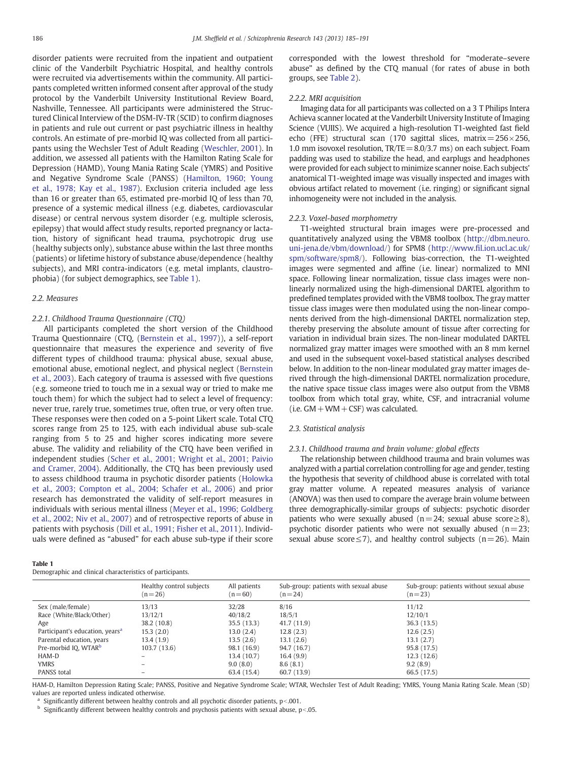<span id="page-1-0"></span>disorder patients were recruited from the inpatient and outpatient clinic of the Vanderbilt Psychiatric Hospital, and healthy controls were recruited via advertisements within the community. All participants completed written informed consent after approval of the study protocol by the Vanderbilt University Institutional Review Board, Nashville, Tennessee. All participants were administered the Structured Clinical Interview of the DSM-IV-TR (SCID) to confirm diagnoses in patients and rule out current or past psychiatric illness in healthy controls. An estimate of pre-morbid IQ was collected from all participants using the Wechsler Test of Adult Reading [\(Weschler, 2001\)](#page-6-0). In addition, we assessed all patients with the Hamilton Rating Scale for Depression (HAMD), Young Mania Rating Scale (YMRS) and Positive and Negative Syndrome Scale (PANSS) ([Hamilton, 1960; Young](#page-6-0) [et al., 1978; Kay et al., 1987\)](#page-6-0). Exclusion criteria included age less than 16 or greater than 65, estimated pre-morbid IQ of less than 70, presence of a systemic medical illness (e.g. diabetes, cardiovascular disease) or central nervous system disorder (e.g. multiple sclerosis, epilepsy) that would affect study results, reported pregnancy or lactation, history of significant head trauma, psychotropic drug use (healthy subjects only), substance abuse within the last three months (patients) or lifetime history of substance abuse/dependence (healthy subjects), and MRI contra-indicators (e.g. metal implants, claustrophobia) (for subject demographics, see Table 1).

#### 2.2. Measures

#### 2.2.1. Childhood Trauma Questionnaire (CTQ)

All participants completed the short version of the Childhood Trauma Questionnaire (CTQ, [\(Bernstein et al., 1997\)](#page-5-0)), a self-report questionnaire that measures the experience and severity of five different types of childhood trauma: physical abuse, sexual abuse, emotional abuse, emotional neglect, and physical neglect [\(Bernstein](#page-5-0) [et al., 2003\)](#page-5-0). Each category of trauma is assessed with five questions (e.g. someone tried to touch me in a sexual way or tried to make me touch them) for which the subject had to select a level of frequency: never true, rarely true, sometimes true, often true, or very often true. These responses were then coded on a 5-point Likert scale. Total CTQ scores range from 25 to 125, with each individual abuse sub-scale ranging from 5 to 25 and higher scores indicating more severe abuse. The validity and reliability of the CTQ have been verified in independent studies ([Scher et al., 2001; Wright et al., 2001; Paivio](#page-6-0) [and Cramer, 2004](#page-6-0)). Additionally, the CTQ has been previously used to assess childhood trauma in psychotic disorder patients [\(Holowka](#page-6-0) [et al., 2003; Compton et al., 2004; Schafer et al., 2006](#page-6-0)) and prior research has demonstrated the validity of self-report measures in individuals with serious mental illness ([Meyer et al., 1996; Goldberg](#page-6-0) [et al., 2002; Niv et al., 2007](#page-6-0)) and of retrospective reports of abuse in patients with psychosis ([Dill et al., 1991; Fisher et al., 2011](#page-6-0)). Individuals were defined as "abused" for each abuse sub-type if their score

#### Table 1

Demographic and clinical characteristics of participants.

corresponded with the lowest threshold for "moderate–severe abuse" as defined by the CTQ manual (for rates of abuse in both groups, see [Table 2\)](#page-2-0).

#### 2.2.2. MRI acquisition

Imaging data for all participants was collected on a 3 T Philips Intera Achieva scanner located at the Vanderbilt University Institute of Imaging Science (VUIIS). We acquired a high-resolution T1-weighted fast field echo (FFE) structural scan (170 sagittal slices, matrix =  $256 \times 256$ , 1.0 mm isovoxel resolution,  $TR/TE=8.0/3.7$  ms) on each subject. Foam padding was used to stabilize the head, and earplugs and headphones were provided for each subject to minimize scanner noise. Each subjects' anatomical T1-weighted image was visually inspected and images with obvious artifact related to movement (i.e. ringing) or significant signal inhomogeneity were not included in the analysis.

#### 2.2.3. Voxel-based morphometry

T1-weighted structural brain images were pre-processed and quantitatively analyzed using the VBM8 toolbox [\(http://dbm.neuro.](http://dbm.neuro.uni-jena.de/vbm/download/) [uni-jena.de/vbm/download/](http://dbm.neuro.uni-jena.de/vbm/download/)) for SPM8 (http://www.fi[l.ion.ucl.ac.uk/](http://www.fil.ion.ucl.ac.uk/spm/software/spm8/) [spm/software/spm8/\)](http://www.fil.ion.ucl.ac.uk/spm/software/spm8/). Following bias-correction, the T1-weighted images were segmented and affine (i.e. linear) normalized to MNI space. Following linear normalization, tissue class images were nonlinearly normalized using the high-dimensional DARTEL algorithm to predefined templates provided with the VBM8 toolbox. The gray matter tissue class images were then modulated using the non-linear components derived from the high-dimensional DARTEL normalization step, thereby preserving the absolute amount of tissue after correcting for variation in individual brain sizes. The non-linear modulated DARTEL normalized gray matter images were smoothed with an 8 mm kernel and used in the subsequent voxel-based statistical analyses described below. In addition to the non-linear modulated gray matter images derived through the high-dimensional DARTEL normalization procedure, the native space tissue class images were also output from the VBM8 toolbox from which total gray, white, CSF, and intracranial volume (i.e.  $GM + WM + CSF$ ) was calculated.

#### 2.3. Statistical analysis

#### 2.3.1. Childhood trauma and brain volume: global effects

The relationship between childhood trauma and brain volumes was analyzed with a partial correlation controlling for age and gender, testing the hypothesis that severity of childhood abuse is correlated with total gray matter volume. A repeated measures analysis of variance (ANOVA) was then used to compare the average brain volume between three demographically-similar groups of subjects: psychotic disorder patients who were sexually abused (n=24; sexual abuse score  $\geq$ 8), psychotic disorder patients who were not sexually abused  $(n=23;$ sexual abuse score  $\leq$ 7), and healthy control subjects (n=26). Main

|                                             | Healthy control subjects<br>$(n=26)$ | All patients<br>$(n=60)$ | Sub-group: patients with sexual abuse<br>$(n=24)$ | Sub-group: patients without sexual abuse<br>$(n=23)$ |
|---------------------------------------------|--------------------------------------|--------------------------|---------------------------------------------------|------------------------------------------------------|
| Sex (male/female)                           | 13/13                                | 32/28                    | 8/16                                              | 11/12                                                |
| Race (White/Black/Other)                    | 13/12/1                              | 40/18/2                  | 18/5/1                                            | 12/10/1                                              |
| Age                                         | 38.2(10.8)                           | 35.5(13.3)               | 41.7(11.9)                                        | 36.3(13.5)                                           |
| Participant's education, years <sup>a</sup> | 15.3(2.0)                            | 13.0(2.4)                | 12.8(2.3)                                         | 12.6(2.5)                                            |
| Parental education, years                   | 13.4 (1.9)                           | 13.5(2.6)                | 13.1(2.6)                                         | 13.1(2.7)                                            |
| Pre-morbid IQ, WTAR <sup>b</sup>            | 103.7(13.6)                          | 98.1 (16.9)              | 94.7 (16.7)                                       | 95.8 (17.5)                                          |
| HAM-D                                       | $\overline{\phantom{m}}$             | 13.4 (10.7)              | 16.4(9.9)                                         | 12.3(12.6)                                           |
| <b>YMRS</b>                                 | $\qquad \qquad =$                    | 9.0(8.0)                 | 8.6(8.1)                                          | 9.2(8.9)                                             |
| PANSS total                                 | ۰                                    | 63.4 (15.4)              | 60.7 (13.9)                                       | 66.5 (17.5)                                          |
|                                             |                                      |                          |                                                   |                                                      |

HAM-D, Hamilton Depression Rating Scale; PANSS, Positive and Negative Syndrome Scale; WTAR, Wechsler Test of Adult Reading; YMRS, Young Mania Rating Scale. Mean (SD) values are reported unless indicated otherwise.

 $a$  Significantly different between healthy controls and all psychotic disorder patients,  $p<.001$ .

 $b$  Significantly different between healthy controls and psychosis patients with sexual abuse, p<.05.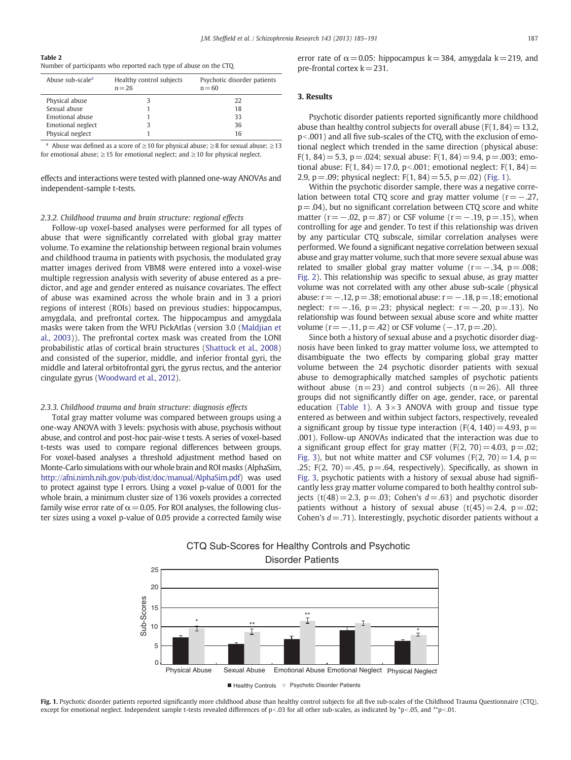<span id="page-2-0"></span>

| Table 2                                                   |  |  |  |
|-----------------------------------------------------------|--|--|--|
| Number of participants who reported each type of abuse on |  |  |  |

| Abuse sub-scale <sup>a</sup> | Healthy control subjects<br>$n = 26$ | Psychotic disorder patients<br>$n = 60$ |
|------------------------------|--------------------------------------|-----------------------------------------|
| Physical abuse               |                                      | 22                                      |
| Sexual abuse                 |                                      | 18                                      |
| Emotional abuse              |                                      | 33                                      |
| <b>Emotional neglect</b>     |                                      | 36                                      |
| Physical neglect             |                                      | 16                                      |

the CTQ.

<sup>a</sup> Abuse was defined as a score of  $\geq$  10 for physical abuse;  $\geq$  8 for sexual abuse;  $\geq$  13 for emotional abuse;  $\geq$  15 for emotional neglect; and  $\geq$  10 for physical neglect.

effects and interactions were tested with planned one-way ANOVAs and independent-sample t-tests.

#### 2.3.2. Childhood trauma and brain structure: regional effects

Follow-up voxel-based analyses were performed for all types of abuse that were significantly correlated with global gray matter volume. To examine the relationship between regional brain volumes and childhood trauma in patients with psychosis, the modulated gray matter images derived from VBM8 were entered into a voxel-wise multiple regression analysis with severity of abuse entered as a predictor, and age and gender entered as nuisance covariates. The effect of abuse was examined across the whole brain and in 3 a priori regions of interest (ROIs) based on previous studies: hippocampus, amygdala, and prefrontal cortex. The hippocampus and amygdala masks were taken from the WFU PickAtlas (version 3.0 ([Maldjian et](#page-6-0) [al., 2003](#page-6-0))). The prefrontal cortex mask was created from the LONI probabilistic atlas of cortical brain structures [\(Shattuck et al., 2008](#page-6-0)) and consisted of the superior, middle, and inferior frontal gyri, the middle and lateral orbitofrontal gyri, the gyrus rectus, and the anterior cingulate gyrus [\(Woodward et al., 2012](#page-6-0)).

#### 2.3.3. Childhood trauma and brain structure: diagnosis effects

Total gray matter volume was compared between groups using a one-way ANOVA with 3 levels: psychosis with abuse, psychosis without abuse, and control and post-hoc pair-wise t tests. A series of voxel-based t-tests was used to compare regional differences between groups. For voxel-based analyses a threshold adjustment method based on Monte-Carlo simulations with our whole brain and ROI masks (AlphaSim, <http://afni.nimh.nih.gov/pub/dist/doc/manual/AlphaSim.pdf>) was used to protect against type I errors. Using a voxel p-value of 0.001 for the whole brain, a minimum cluster size of 136 voxels provides a corrected family wise error rate of  $\alpha$  = 0.05. For ROI analyses, the following cluster sizes using a voxel p-value of 0.05 provide a corrected family wise error rate of  $\alpha$  = 0.05: hippocampus k = 384, amygdala k = 219, and pre-frontal cortex  $k=231$ .

### 3. Results

Psychotic disorder patients reported significantly more childhood abuse than healthy control subjects for overall abuse ( $F(1, 84) = 13.2$ ,  $p$ <.001) and all five sub-scales of the CTO, with the exclusion of emotional neglect which trended in the same direction (physical abuse: F(1, 84) = 5.3, p = .024; sexual abuse: F(1, 84) = 9.4, p = .003; emotional abuse: F(1, 84) = 17.0, p < 001; emotional neglect: F(1, 84) = 2.9, p = .09; physical neglect:  $F(1, 84) = 5.5$ , p = .02) (Fig. 1).

Within the psychotic disorder sample, there was a negative correlation between total CTQ score and gray matter volume ( $r = -0.27$ ,  $p = .04$ ), but no significant correlation between CTQ score and white matter ( $r = -0.02$ ,  $p = 0.87$ ) or CSF volume ( $r = -0.19$ ,  $p = 0.15$ ), when controlling for age and gender. To test if this relationship was driven by any particular CTQ subscale, similar correlation analyses were performed. We found a significant negative correlation between sexual abuse and gray matter volume, such that more severe sexual abuse was related to smaller global gray matter volume ( $r = -0.34$ ,  $p = 0.008$ ; [Fig. 2](#page-3-0)). This relationship was specific to sexual abuse, as gray matter volume was not correlated with any other abuse sub-scale (physical abuse:  $r=-.12$ ,  $p=.38$ ; emotional abuse:  $r=-.18$ ,  $p=.18$ ; emotional neglect:  $r = -0.16$ ,  $p = 0.23$ ; physical neglect:  $r = -0.20$ ,  $p = 0.13$ ). No relationship was found between sexual abuse score and white matter volume  $(r = -0.11, p = .42)$  or CSF volume  $(-0.17, p = .20)$ .

Since both a history of sexual abuse and a psychotic disorder diagnosis have been linked to gray matter volume loss, we attempted to disambiguate the two effects by comparing global gray matter volume between the 24 psychotic disorder patients with sexual abuse to demographically matched samples of psychotic patients without abuse  $(n=23)$  and control subjects  $(n=26)$ . All three groups did not significantly differ on age, gender, race, or parental education [\(Table 1\)](#page-1-0). A  $3 \times 3$  ANOVA with group and tissue type entered as between and within subject factors, respectively, revealed a significant group by tissue type interaction ( $F(4, 140) = 4.93$ ,  $p=$ .001). Follow-up ANOVAs indicated that the interaction was due to a significant group effect for gray matter (F(2, 70) = 4.03, p = .02; [Fig. 3\)](#page-3-0), but not white matter and CSF volumes (F(2, 70) = 1.4,  $p=$ .25;  $F(2, 70) = .45$ ,  $p = .64$ , respectively). Specifically, as shown in [Fig. 3](#page-3-0), psychotic patients with a history of sexual abuse had significantly less gray matter volume compared to both healthy control subjects (t(48)=2.3, p=.03; Cohen's  $d = .63$ ) and psychotic disorder patients without a history of sexual abuse  $(t(45)=2.4, p=.02;$ Cohen's  $d = .71$ ). Interestingly, psychotic disorder patients without a



Fig. 1. Psychotic disorder patients reported significantly more childhood abuse than healthy control subjects for all five sub-scales of the Childhood Trauma Questionnaire (CTQ), except for emotional neglect. Independent sample t-tests revealed differences of  $p<0.03$  for all other sub-scales, as indicated by  $*p<0.05$ , and  $*p<0.1$ .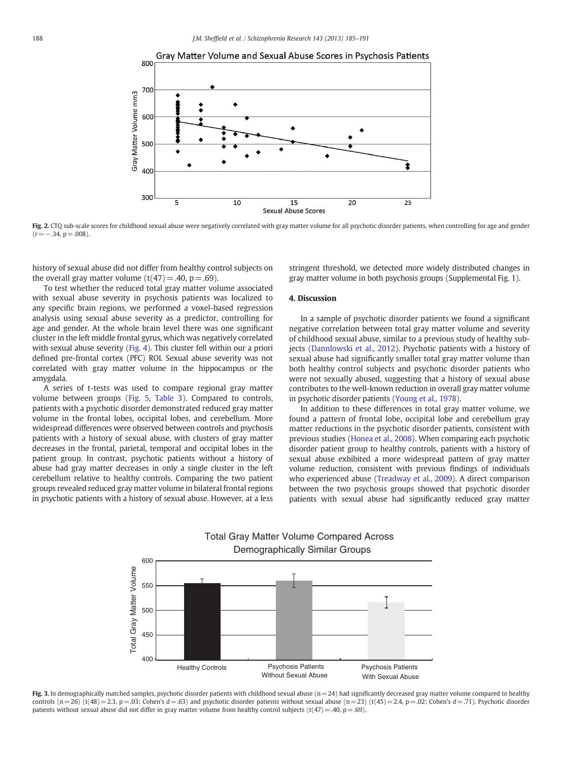<span id="page-3-0"></span>

Fig. 2. CTO sub-scale scores for childhood sexual abuse were negatively correlated with gray matter volume for all psychotic disorder patients, when controlling for age and gender  $(r=-.34, p=.008)$ .

history of sexual abuse did not differ from healthy control subjects on the overall gray matter volume  $(t(47)=.40, p=.69)$ .

To test whether the reduced total gray matter volume associated with sexual abuse severity in psychosis patients was localized to any specific brain regions, we performed a voxel-based regression analysis using sexual abuse severity as a predictor, controlling for age and gender. At the whole brain level there was one significant cluster in the left middle frontal gyrus, which was negatively correlated with sexual abuse severity ([Fig. 4\)](#page-4-0). This cluster fell within our a priori defined pre-frontal cortex (PFC) ROI. Sexual abuse severity was not correlated with gray matter volume in the hippocampus or the amygdala.

A series of t-tests was used to compare regional gray matter volume between groups [\(Fig. 5,](#page-4-0) [Table 3](#page-5-0)). Compared to controls, patients with a psychotic disorder demonstrated reduced gray matter volume in the frontal lobes, occipital lobes, and cerebellum. More widespread differences were observed between controls and psychosis patients with a history of sexual abuse, with clusters of gray matter decreases in the frontal, parietal, temporal and occipital lobes in the patient group. In contrast, psychotic patients without a history of abuse had gray matter decreases in only a single cluster in the left cerebellum relative to healthy controls. Comparing the two patient groups revealed reduced gray matter volume in bilateral frontal regions in psychotic patients with a history of sexual abuse. However, at a less

stringent threshold, we detected more widely distributed changes in gray matter volume in both psychosis groups (Supplemental Fig. 1).

#### 4. Discussion

In a sample of psychotic disorder patients we found a significant negative correlation between total gray matter volume and severity of childhood sexual abuse, similar to a previous study of healthy subjects ([Dannlowski et al., 2012](#page-6-0)). Psychotic patients with a history of sexual abuse had significantly smaller total gray matter volume than both healthy control subjects and psychotic disorder patients who were not sexually abused, suggesting that a history of sexual abuse contributes to the well-known reduction in overall gray matter volume in psychotic disorder patients ([Young et al., 1978](#page-6-0)).

In addition to these differences in total gray matter volume, we found a pattern of frontal lobe, occipital lobe and cerebellum gray matter reductions in the psychotic disorder patients, consistent with previous studies [\(Honea et al., 2008\)](#page-6-0). When comparing each psychotic disorder patient group to healthy controls, patients with a history of sexual abuse exhibited a more widespread pattern of gray matter volume reduction, consistent with previous findings of individuals who experienced abuse ([Treadway et al., 2009\)](#page-6-0). A direct comparison between the two psychosis groups showed that psychotic disorder patients with sexual abuse had significantly reduced gray matter



Fig. 3. In demographically matched samples, psychotic disorder patients with childhood sexual abuse ( $n=24$ ) had significantly decreased gray matter volume compared to healthy controls  $(n=26)$  (t $(48)$  = 2.3, p = .03; Cohen's d = .63) and psychotic disorder patients without sexual abuse  $(n=23)$  (t $(45)$  = 2.4, p=.02; Cohen's d = .71). Psychotic disorder patients without sexual abuse did not differ in gray matter volume from healthy control subjects (t(47) = .40, p = .69).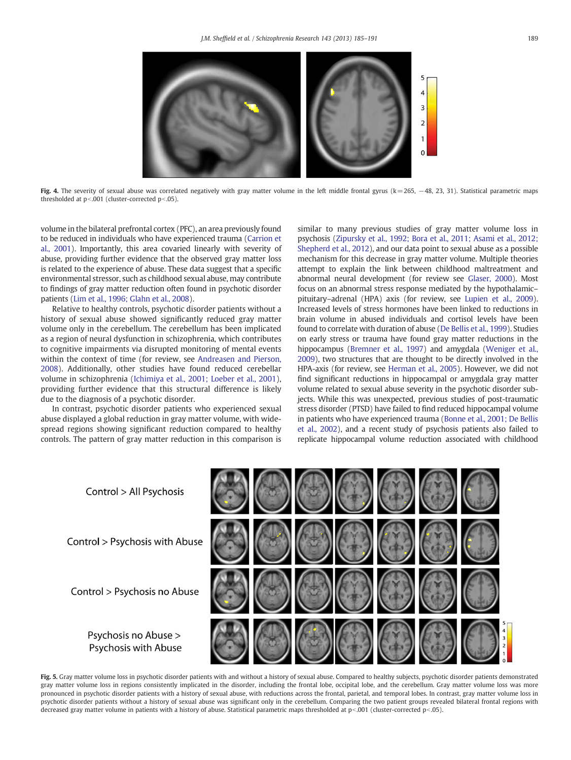<span id="page-4-0"></span>

Fig. 4. The severity of sexual abuse was correlated negatively with gray matter volume in the left middle frontal gyrus (k=265, -48, 23, 31). Statistical parametric maps thresholded at  $p<0.001$  (cluster-corrected  $p<0.05$ ).

volume in the bilateral prefrontal cortex (PFC), an area previously found to be reduced in individuals who have experienced trauma [\(Carrion et](#page-5-0) [al., 2001](#page-5-0)). Importantly, this area covaried linearly with severity of abuse, providing further evidence that the observed gray matter loss is related to the experience of abuse. These data suggest that a specific environmental stressor, such as childhood sexual abuse, may contribute to findings of gray matter reduction often found in psychotic disorder patients ([Lim et al., 1996; Glahn et al., 2008](#page-6-0)).

Relative to healthy controls, psychotic disorder patients without a history of sexual abuse showed significantly reduced gray matter volume only in the cerebellum. The cerebellum has been implicated as a region of neural dysfunction in schizophrenia, which contributes to cognitive impairments via disrupted monitoring of mental events within the context of time (for review, see [Andreasen and Pierson,](#page-5-0) [2008\)](#page-5-0). Additionally, other studies have found reduced cerebellar volume in schizophrenia ([Ichimiya et al., 2001; Loeber et al., 2001](#page-6-0)), providing further evidence that this structural difference is likely due to the diagnosis of a psychotic disorder.

In contrast, psychotic disorder patients who experienced sexual abuse displayed a global reduction in gray matter volume, with widespread regions showing significant reduction compared to healthy controls. The pattern of gray matter reduction in this comparison is similar to many previous studies of gray matter volume loss in psychosis ([Zipursky et al., 1992; Bora et al., 2011; Asami et al., 2012;](#page-6-0) [Shepherd et al., 2012](#page-6-0)), and our data point to sexual abuse as a possible mechanism for this decrease in gray matter volume. Multiple theories attempt to explain the link between childhood maltreatment and abnormal neural development (for review see [Glaser, 2000](#page-6-0)). Most focus on an abnormal stress response mediated by the hypothalamic– pituitary–adrenal (HPA) axis (for review, see [Lupien et al., 2009](#page-6-0)). Increased levels of stress hormones have been linked to reductions in brain volume in abused individuals and cortisol levels have been found to correlate with duration of abuse [\(De Bellis et al., 1999\)](#page-6-0). Studies on early stress or trauma have found gray matter reductions in the hippocampus ([Bremner et al., 1997\)](#page-5-0) and amygdala [\(Weniger et al.,](#page-6-0) [2009](#page-6-0)), two structures that are thought to be directly involved in the HPA-axis (for review, see [Herman et al., 2005\)](#page-6-0). However, we did not find significant reductions in hippocampal or amygdala gray matter volume related to sexual abuse severity in the psychotic disorder subjects. While this was unexpected, previous studies of post-traumatic stress disorder (PTSD) have failed to find reduced hippocampal volume in patients who have experienced trauma [\(Bonne et al., 2001; De Bellis](#page-5-0) [et al., 2002\)](#page-5-0), and a recent study of psychosis patients also failed to replicate hippocampal volume reduction associated with childhood



Fig. 5. Gray matter volume loss in psychotic disorder patients with and without a history of sexual abuse. Compared to healthy subjects, psychotic disorder patients demonstrated gray matter volume loss in regions consistently implicated in the disorder, including the frontal lobe, occipital lobe, and the cerebellum. Gray matter volume loss was more pronounced in psychotic disorder patients with a history of sexual abuse, with reductions across the frontal, parietal, and temporal lobes. In contrast, gray matter volume loss in psychotic disorder patients without a history of sexual abuse was significant only in the cerebellum. Comparing the two patient groups revealed bilateral frontal regions with decreased gray matter volume in patients with a history of abuse. Statistical parametric maps thresholded at  $p<001$  (cluster-corrected  $p<05$ ).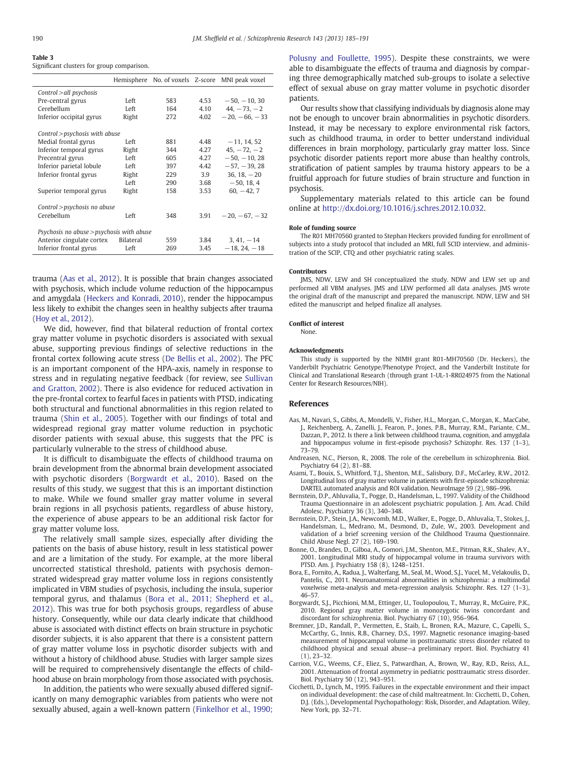<span id="page-5-0"></span>

|  |  | Significant clusters for group comparison. |
|--|--|--------------------------------------------|

|                                             | Hemisphere | No. of voxels Z-score |       | MNI peak voxel  |  |  |
|---------------------------------------------|------------|-----------------------|-------|-----------------|--|--|
| $Control > all$ psychosis                   |            |                       |       |                 |  |  |
| Pre-central gyrus                           | Left       | 583                   | 4.53  | $-50, -10, 30$  |  |  |
| Cerebellum                                  | Left       | 164                   | 4.10  | $44. -73. -2$   |  |  |
| Inferior occipital gyrus                    | Right      | 272                   | 4.02  | $-20, -66, -33$ |  |  |
| Control > psychosis with abuse              |            |                       |       |                 |  |  |
| Medial frontal gyrus                        | Left       | 881                   | 4 4 8 | $-11, 14, 52$   |  |  |
| Inferior temporal gyrus                     | Right      | 344                   | 4.27  | $45. -72. -2$   |  |  |
| Precentral gyrus                            | Left       | 605                   | 4.27  | $-50, -10, 28$  |  |  |
| Inferior parietal lobule                    | Left       | 397                   | 442   | $-57, -39, 28$  |  |  |
| Inferior frontal gyrus                      | Right      | 229                   | 3.9   | $36.18 - 20$    |  |  |
|                                             | Left       | 290                   | 3.68  | $-50, 18, 4$    |  |  |
| Superior temporal gyrus                     | Right      | 158                   | 3.53  | $60, -42, 7$    |  |  |
| $Control$ > psychosis no abuse              |            |                       |       |                 |  |  |
| Cerebellum                                  | Left       | 348                   | 3.91  | $-20, -67, -32$ |  |  |
| Psychosis no abuse $>$ psychosis with abuse |            |                       |       |                 |  |  |
| Anterior cingulate cortex                   | Bilateral  | 559                   | 3.84  | $3, 41, -14$    |  |  |
| Inferior frontal gyrus                      | Left       | 269                   | 3.45  | $-18, 24, -18$  |  |  |

trauma (Aas et al., 2012). It is possible that brain changes associated with psychosis, which include volume reduction of the hippocampus and amygdala [\(Heckers and Konradi, 2010\)](#page-6-0), render the hippocampus less likely to exhibit the changes seen in healthy subjects after trauma [\(Hoy et al., 2012](#page-6-0)).

We did, however, find that bilateral reduction of frontal cortex gray matter volume in psychotic disorders is associated with sexual abuse, supporting previous findings of selective reductions in the frontal cortex following acute stress ([De Bellis et al., 2002\)](#page-6-0). The PFC is an important component of the HPA-axis, namely in response to stress and in regulating negative feedback (for review, see [Sullivan](#page-6-0) [and Gratton, 2002\)](#page-6-0). There is also evidence for reduced activation in the pre-frontal cortex to fearful faces in patients with PTSD, indicating both structural and functional abnormalities in this region related to trauma ([Shin et al., 2005](#page-6-0)). Together with our findings of total and widespread regional gray matter volume reduction in psychotic disorder patients with sexual abuse, this suggests that the PFC is particularly vulnerable to the stress of childhood abuse.

It is difficult to disambiguate the effects of childhood trauma on brain development from the abnormal brain development associated with psychotic disorders (Borgwardt et al., 2010). Based on the results of this study, we suggest that this is an important distinction to make. While we found smaller gray matter volume in several brain regions in all psychosis patients, regardless of abuse history, the experience of abuse appears to be an additional risk factor for gray matter volume loss.

The relatively small sample sizes, especially after dividing the patients on the basis of abuse history, result in less statistical power and are a limitation of the study. For example, at the more liberal uncorrected statistical threshold, patients with psychosis demonstrated widespread gray matter volume loss in regions consistently implicated in VBM studies of psychosis, including the insula, superior temporal gyrus, and thalamus (Bora et al., 2011; Shepherd et al., 2012). This was true for both psychosis groups, regardless of abuse history. Consequently, while our data clearly indicate that childhood abuse is associated with distinct effects on brain structure in psychotic disorder subjects, it is also apparent that there is a consistent pattern of gray matter volume loss in psychotic disorder subjects with and without a history of childhood abuse. Studies with larger sample sizes will be required to comprehensively disentangle the effects of childhood abuse on brain morphology from those associated with psychosis.

In addition, the patients who were sexually abused differed significantly on many demographic variables from patients who were not sexually abused, again a well-known pattern [\(Finkelhor et al., 1990;](#page-6-0) [Polusny and Foullette, 1995](#page-6-0)). Despite these constraints, we were able to disambiguate the effects of trauma and diagnosis by comparing three demographically matched sub-groups to isolate a selective effect of sexual abuse on gray matter volume in psychotic disorder patients.

Our results show that classifying individuals by diagnosis alone may not be enough to uncover brain abnormalities in psychotic disorders. Instead, it may be necessary to explore environmental risk factors, such as childhood trauma, in order to better understand individual differences in brain morphology, particularly gray matter loss. Since psychotic disorder patients report more abuse than healthy controls, stratification of patient samples by trauma history appears to be a fruitful approach for future studies of brain structure and function in psychosis.

Supplementary materials related to this article can be found online at [http://dx.doi.org/10.1016/j.schres.2012.10.032.](http://dx.doi.org/10.1016/j.schres.2012.10.032)

#### Role of funding source

The R01 MH70560 granted to Stephan Heckers provided funding for enrollment of subjects into a study protocol that included an MRI, full SCID interview, and administration of the SCIP, CTQ and other psychiatric rating scales.

#### Contributors

JMS, NDW, LEW and SH conceptualized the study. NDW and LEW set up and performed all VBM analyses. JMS and LEW performed all data analyses. JMS wrote the original draft of the manuscript and prepared the manuscript. NDW, LEW and SH edited the manuscript and helped finalize all analyses.

#### Conflict of interest

None.

#### Acknowledgments

This study is supported by the NIMH grant R01-MH70560 (Dr. Heckers), the Vanderbilt Psychiatric Genotype/Phenotype Project, and the Vanderbilt Institute for Clinical and Translational Research (through grant 1-UL-1-RR024975 from the National Center for Research Resources/NIH).

#### References

- Aas, M., Navari, S., Gibbs, A., Mondelli, V., Fisher, H.L., Morgan, C., Morgan, K., MacCabe, J., Reichenberg, A., Zanelli, J., Fearon, P., Jones, P.B., Murray, R.M., Pariante, C.M., Dazzan, P., 2012. Is there a link between childhood trauma, cognition, and amygdala and hippocampus volume in first-episode psychosis? Schizophr. Res. 137 (1-3), 73–79.
- Andreasen, N.C., Pierson, R., 2008. The role of the cerebellum in schizophrenia. Biol. Psychiatry 64 (2), 81–88.
- Asami, T., Bouix, S., Whitford, T.J., Shenton, M.E., Salisbury, D.F., McCarley, R.W., 2012. Longitudinal loss of gray matter volume in patients with first-episode schizophrenia: DARTEL automated analysis and ROI validation. NeuroImage 59 (2), 986–996.
- Bernstein, D.P., Ahluvalia, T., Pogge, D., Handelsman, L., 1997. Validity of the Childhood Trauma Questionnaire in an adolescent psychiatric population. J. Am. Acad. Child Adolesc. Psychiatry 36 (3), 340–348.
- Bernstein, D.P., Stein, J.A., Newcomb, M.D., Walker, E., Pogge, D., Ahluvalia, T., Stokes, J., Handelsman, L., Medrano, M., Desmond, D., Zule, W., 2003. Development and validation of a brief screening version of the Childhood Trauma Questionnaire. Child Abuse Negl. 27 (2), 169–190.
- Bonne, O., Brandes, D., Gilboa, A., Gomori, J.M., Shenton, M.E., Pitman, R.K., Shalev, A.Y., 2001. Longitudinal MRI study of hippocampal volume in trauma survivors with PTSD. Am. J. Psychiatry 158 (8), 1248–1251.
- Bora, E., Fornito, A., Radua, J., Walterfang, M., Seal, M., Wood, S.J., Yucel, M., Velakoulis, D., Pantelis, C., 2011. Neuroanatomical abnormalities in schizophrenia: a multimodal voxelwise meta-analysis and meta-regression analysis. Schizophr. Res. 127 (1–3), 46–57.
- Borgwardt, S.J., Picchioni, M.M., Ettinger, U., Toulopoulou, T., Murray, R., McGuire, P.K., 2010. Regional gray matter volume in monozygotic twins concordant and discordant for schizophrenia. Biol. Psychiatry 67 (10), 956–964.
- Bremner, J.D., Randall, P., Vermetten, E., Staib, L., Bronen, R.A., Mazure, C., Capelli, S., McCarthy, G., Innis, R.B., Charney, D.S., 1997. Magnetic resonance imaging-based measurement of hippocampal volume in posttraumatic stress disorder related to childhood physical and sexual abuse—a preliminary report. Biol. Psychiatry 41  $(1), 23-32.$
- Carrion, V.G., Weems, C.F., Eliez, S., Patwardhan, A., Brown, W., Ray, R.D., Reiss, A.L., 2001. Attenuation of frontal asymmetry in pediatric posttraumatic stress disorder. Biol. Psychiatry 50 (12), 943–951.
- Cicchetti, D., Lynch, M., 1995. Failures in the expectable environment and their impact on individual development: the case of child maltreatment. In: Cicchetti, D., Cohen, D.J. (Eds.), Developmental Psychopathology: Risk, Disorder, and Adaptation. Wiley, New York, pp. 32–71.